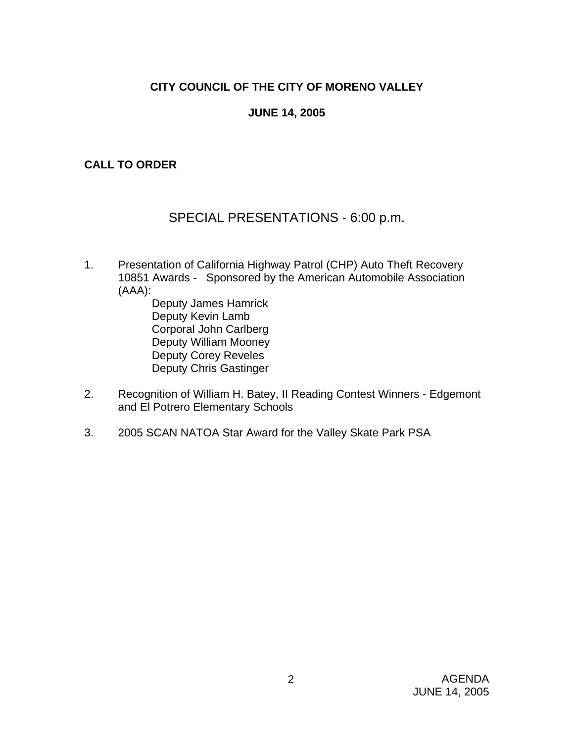# **CITY COUNCIL OF THE CITY OF MORENO VALLEY**

## **JUNE 14, 2005**

## **CALL TO ORDER**

# SPECIAL PRESENTATIONS - 6:00 p.m.

- 1. Presentation of California Highway Patrol (CHP) Auto Theft Recovery 10851 Awards - Sponsored by the American Automobile Association (AAA):
	- Deputy James Hamrick Deputy Kevin Lamb Corporal John Carlberg Deputy William Mooney Deputy Corey Reveles Deputy Chris Gastinger
- 2. Recognition of William H. Batey, II Reading Contest Winners Edgemont and El Potrero Elementary Schools
- 3. 2005 SCAN NATOA Star Award for the Valley Skate Park PSA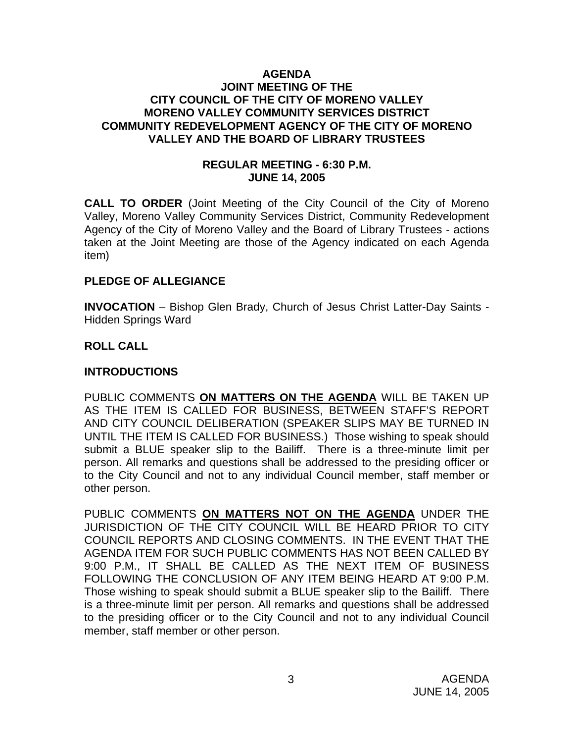#### **AGENDA JOINT MEETING OF THE CITY COUNCIL OF THE CITY OF MORENO VALLEY MORENO VALLEY COMMUNITY SERVICES DISTRICT COMMUNITY REDEVELOPMENT AGENCY OF THE CITY OF MORENO VALLEY AND THE BOARD OF LIBRARY TRUSTEES**

#### **REGULAR MEETING - 6:30 P.M. JUNE 14, 2005**

**CALL TO ORDER** (Joint Meeting of the City Council of the City of Moreno Valley, Moreno Valley Community Services District, Community Redevelopment Agency of the City of Moreno Valley and the Board of Library Trustees - actions taken at the Joint Meeting are those of the Agency indicated on each Agenda item)

#### **PLEDGE OF ALLEGIANCE**

**INVOCATION** – Bishop Glen Brady, Church of Jesus Christ Latter-Day Saints - Hidden Springs Ward

#### **ROLL CALL**

#### **INTRODUCTIONS**

PUBLIC COMMENTS **ON MATTERS ON THE AGENDA** WILL BE TAKEN UP AS THE ITEM IS CALLED FOR BUSINESS, BETWEEN STAFF'S REPORT AND CITY COUNCIL DELIBERATION (SPEAKER SLIPS MAY BE TURNED IN UNTIL THE ITEM IS CALLED FOR BUSINESS.) Those wishing to speak should submit a BLUE speaker slip to the Bailiff. There is a three-minute limit per person. All remarks and questions shall be addressed to the presiding officer or to the City Council and not to any individual Council member, staff member or other person.

PUBLIC COMMENTS **ON MATTERS NOT ON THE AGENDA** UNDER THE JURISDICTION OF THE CITY COUNCIL WILL BE HEARD PRIOR TO CITY COUNCIL REPORTS AND CLOSING COMMENTS. IN THE EVENT THAT THE AGENDA ITEM FOR SUCH PUBLIC COMMENTS HAS NOT BEEN CALLED BY 9:00 P.M., IT SHALL BE CALLED AS THE NEXT ITEM OF BUSINESS FOLLOWING THE CONCLUSION OF ANY ITEM BEING HEARD AT 9:00 P.M. Those wishing to speak should submit a BLUE speaker slip to the Bailiff. There is a three-minute limit per person. All remarks and questions shall be addressed to the presiding officer or to the City Council and not to any individual Council member, staff member or other person.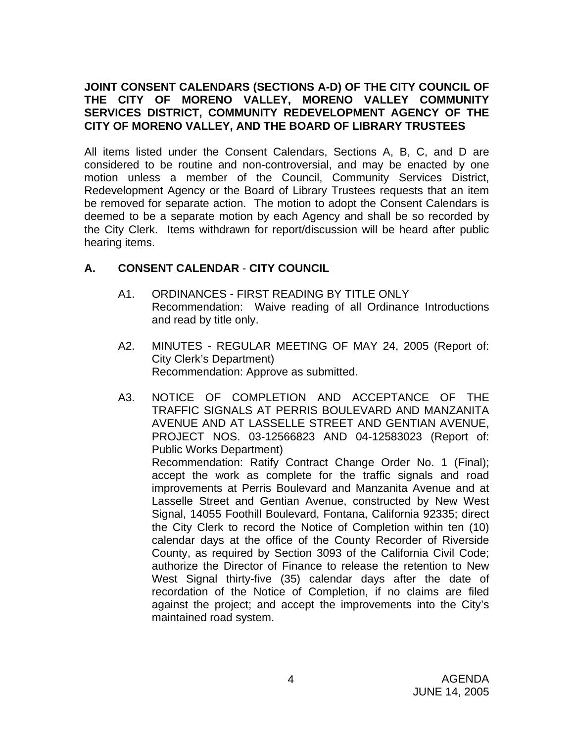## **JOINT CONSENT CALENDARS (SECTIONS A-D) OF THE CITY COUNCIL OF THE CITY OF MORENO VALLEY, MORENO VALLEY COMMUNITY SERVICES DISTRICT, COMMUNITY REDEVELOPMENT AGENCY OF THE CITY OF MORENO VALLEY, AND THE BOARD OF LIBRARY TRUSTEES**

All items listed under the Consent Calendars, Sections A, B, C, and D are considered to be routine and non-controversial, and may be enacted by one motion unless a member of the Council, Community Services District, Redevelopment Agency or the Board of Library Trustees requests that an item be removed for separate action. The motion to adopt the Consent Calendars is deemed to be a separate motion by each Agency and shall be so recorded by the City Clerk. Items withdrawn for report/discussion will be heard after public hearing items.

## **A. CONSENT CALENDAR** - **CITY COUNCIL**

- A1. ORDINANCES FIRST READING BY TITLE ONLY Recommendation: Waive reading of all Ordinance Introductions and read by title only.
- A2. MINUTES REGULAR MEETING OF MAY 24, 2005 (Report of: City Clerk's Department) Recommendation: Approve as submitted.
- A3. NOTICE OF COMPLETION AND ACCEPTANCE OF THE TRAFFIC SIGNALS AT PERRIS BOULEVARD AND MANZANITA AVENUE AND AT LASSELLE STREET AND GENTIAN AVENUE, PROJECT NOS. 03-12566823 AND 04-12583023 (Report of: Public Works Department) Recommendation: Ratify Contract Change Order No. 1 (Final); accept the work as complete for the traffic signals and road improvements at Perris Boulevard and Manzanita Avenue and at Lasselle Street and Gentian Avenue, constructed by New West Signal, 14055 Foothill Boulevard, Fontana, California 92335; direct the City Clerk to record the Notice of Completion within ten (10) calendar days at the office of the County Recorder of Riverside County, as required by Section 3093 of the California Civil Code; authorize the Director of Finance to release the retention to New West Signal thirty-five (35) calendar days after the date of recordation of the Notice of Completion, if no claims are filed against the project; and accept the improvements into the City's maintained road system.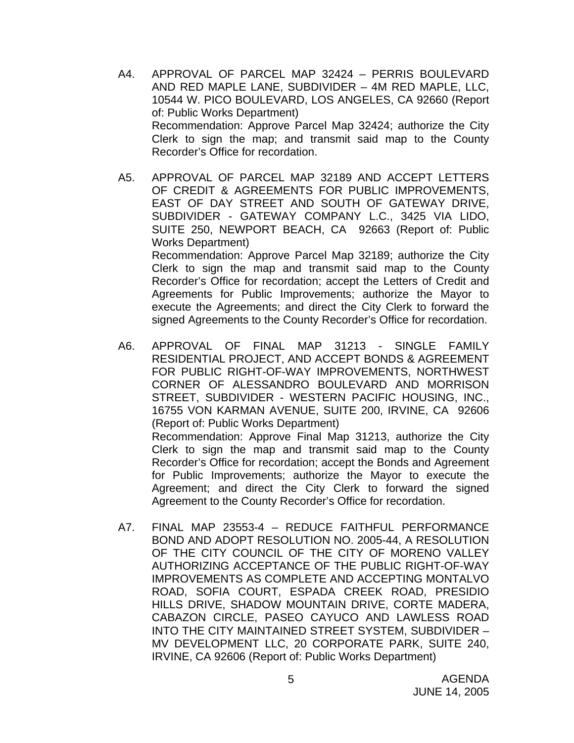- A4. APPROVAL OF PARCEL MAP 32424 PERRIS BOULEVARD AND RED MAPLE LANE, SUBDIVIDER – 4M RED MAPLE, LLC, 10544 W. PICO BOULEVARD, LOS ANGELES, CA 92660 (Report of: Public Works Department) Recommendation: Approve Parcel Map 32424; authorize the City Clerk to sign the map; and transmit said map to the County Recorder's Office for recordation.
- A5. APPROVAL OF PARCEL MAP 32189 AND ACCEPT LETTERS OF CREDIT & AGREEMENTS FOR PUBLIC IMPROVEMENTS, EAST OF DAY STREET AND SOUTH OF GATEWAY DRIVE, SUBDIVIDER - GATEWAY COMPANY L.C., 3425 VIA LIDO, SUITE 250, NEWPORT BEACH, CA 92663 (Report of: Public Works Department) Recommendation: Approve Parcel Map 32189; authorize the City Clerk to sign the map and transmit said map to the County Recorder's Office for recordation; accept the Letters of Credit and Agreements for Public Improvements; authorize the Mayor to execute the Agreements; and direct the City Clerk to forward the signed Agreements to the County Recorder's Office for recordation.
- A6. APPROVAL OF FINAL MAP 31213 SINGLE FAMILY RESIDENTIAL PROJECT, AND ACCEPT BONDS & AGREEMENT FOR PUBLIC RIGHT-OF-WAY IMPROVEMENTS, NORTHWEST CORNER OF ALESSANDRO BOULEVARD AND MORRISON STREET, SUBDIVIDER - WESTERN PACIFIC HOUSING, INC., 16755 VON KARMAN AVENUE, SUITE 200, IRVINE, CA 92606 (Report of: Public Works Department) Recommendation: Approve Final Map 31213, authorize the City Clerk to sign the map and transmit said map to the County Recorder's Office for recordation; accept the Bonds and Agreement for Public Improvements; authorize the Mayor to execute the Agreement; and direct the City Clerk to forward the signed Agreement to the County Recorder's Office for recordation.
- A7. FINAL MAP 23553-4 REDUCE FAITHFUL PERFORMANCE BOND AND ADOPT RESOLUTION NO. 2005-44, A RESOLUTION OF THE CITY COUNCIL OF THE CITY OF MORENO VALLEY AUTHORIZING ACCEPTANCE OF THE PUBLIC RIGHT-OF-WAY IMPROVEMENTS AS COMPLETE AND ACCEPTING MONTALVO ROAD, SOFIA COURT, ESPADA CREEK ROAD, PRESIDIO HILLS DRIVE, SHADOW MOUNTAIN DRIVE, CORTE MADERA, CABAZON CIRCLE, PASEO CAYUCO AND LAWLESS ROAD INTO THE CITY MAINTAINED STREET SYSTEM, SUBDIVIDER – MV DEVELOPMENT LLC, 20 CORPORATE PARK, SUITE 240, IRVINE, CA 92606 (Report of: Public Works Department)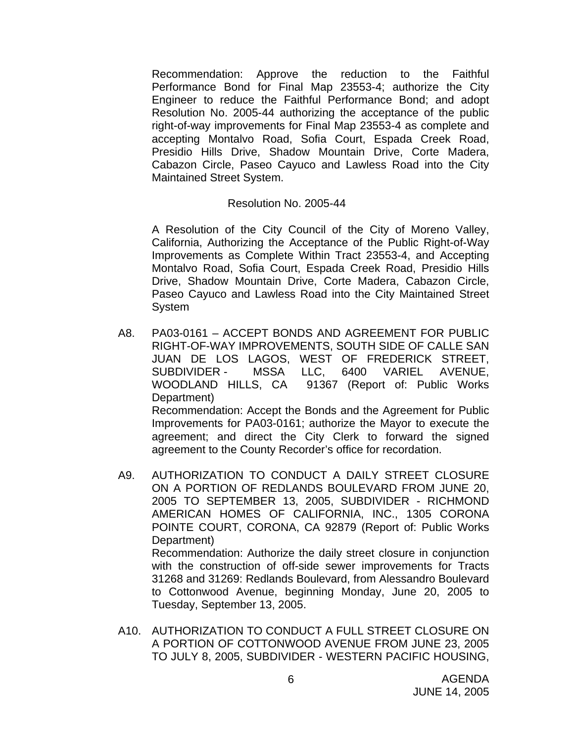Recommendation: Approve the reduction to the Faithful Performance Bond for Final Map 23553-4; authorize the City Engineer to reduce the Faithful Performance Bond; and adopt Resolution No. 2005-44 authorizing the acceptance of the public right-of-way improvements for Final Map 23553-4 as complete and accepting Montalvo Road, Sofia Court, Espada Creek Road, Presidio Hills Drive, Shadow Mountain Drive, Corte Madera, Cabazon Circle, Paseo Cayuco and Lawless Road into the City Maintained Street System.

#### Resolution No. 2005-44

A Resolution of the City Council of the City of Moreno Valley, California, Authorizing the Acceptance of the Public Right-of-Way Improvements as Complete Within Tract 23553-4, and Accepting Montalvo Road, Sofia Court, Espada Creek Road, Presidio Hills Drive, Shadow Mountain Drive, Corte Madera, Cabazon Circle, Paseo Cayuco and Lawless Road into the City Maintained Street System

- A8. PA03-0161 ACCEPT BONDS AND AGREEMENT FOR PUBLIC RIGHT-OF-WAY IMPROVEMENTS, SOUTH SIDE OF CALLE SAN JUAN DE LOS LAGOS, WEST OF FREDERICK STREET, SUBDIVIDER - MSSA LLC, 6400 VARIEL AVENUE, WOODLAND HILLS, CA 91367 (Report of: Public Works Department) Recommendation: Accept the Bonds and the Agreement for Public Improvements for PA03-0161; authorize the Mayor to execute the agreement; and direct the City Clerk to forward the signed agreement to the County Recorder's office for recordation.
- A9. AUTHORIZATION TO CONDUCT A DAILY STREET CLOSURE ON A PORTION OF REDLANDS BOULEVARD FROM JUNE 20, 2005 TO SEPTEMBER 13, 2005, SUBDIVIDER - RICHMOND AMERICAN HOMES OF CALIFORNIA, INC., 1305 CORONA POINTE COURT, CORONA, CA 92879 (Report of: Public Works Department) Recommendation: Authorize the daily street closure in conjunction with the construction of off-side sewer improvements for Tracts

31268 and 31269: Redlands Boulevard, from Alessandro Boulevard to Cottonwood Avenue, beginning Monday, June 20, 2005 to Tuesday, September 13, 2005.

A10. AUTHORIZATION TO CONDUCT A FULL STREET CLOSURE ON A PORTION OF COTTONWOOD AVENUE FROM JUNE 23, 2005 TO JULY 8, 2005, SUBDIVIDER - WESTERN PACIFIC HOUSING,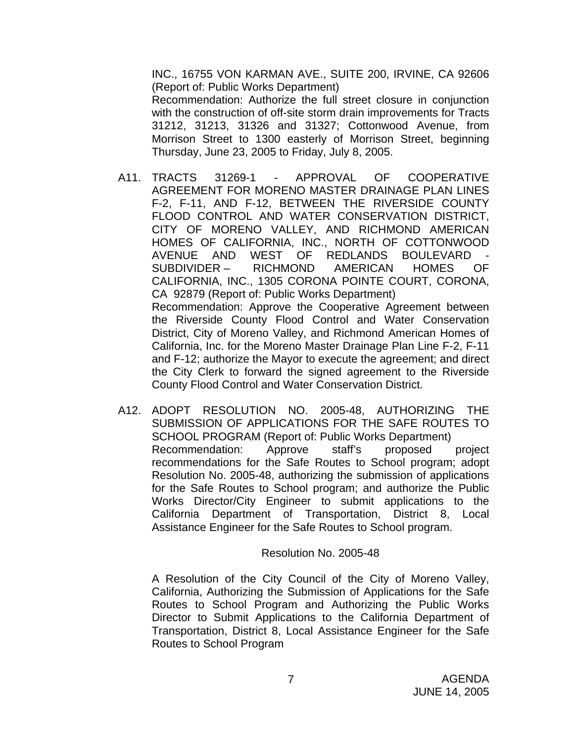INC., 16755 VON KARMAN AVE., SUITE 200, IRVINE, CA 92606 (Report of: Public Works Department)

Recommendation: Authorize the full street closure in conjunction with the construction of off-site storm drain improvements for Tracts 31212, 31213, 31326 and 31327; Cottonwood Avenue, from Morrison Street to 1300 easterly of Morrison Street, beginning Thursday, June 23, 2005 to Friday, July 8, 2005.

- A11. TRACTS 31269-1 APPROVAL OF COOPERATIVE AGREEMENT FOR MORENO MASTER DRAINAGE PLAN LINES F-2, F-11, AND F-12, BETWEEN THE RIVERSIDE COUNTY FLOOD CONTROL AND WATER CONSERVATION DISTRICT, CITY OF MORENO VALLEY, AND RICHMOND AMERICAN HOMES OF CALIFORNIA, INC., NORTH OF COTTONWOOD AVENUE AND WEST OF REDLANDS BOULEVARD SUBDIVIDER – RICHMOND AMERICAN HOMES OF CALIFORNIA, INC., 1305 CORONA POINTE COURT, CORONA, CA 92879 (Report of: Public Works Department) Recommendation: Approve the Cooperative Agreement between the Riverside County Flood Control and Water Conservation District, City of Moreno Valley, and Richmond American Homes of California, Inc. for the Moreno Master Drainage Plan Line F-2, F-11 and F-12; authorize the Mayor to execute the agreement; and direct the City Clerk to forward the signed agreement to the Riverside County Flood Control and Water Conservation District.
- A12. ADOPT RESOLUTION NO. 2005-48, AUTHORIZING THE SUBMISSION OF APPLICATIONS FOR THE SAFE ROUTES TO SCHOOL PROGRAM (Report of: Public Works Department) Recommendation: Approve staff's proposed project recommendations for the Safe Routes to School program; adopt Resolution No. 2005-48, authorizing the submission of applications for the Safe Routes to School program; and authorize the Public Works Director/City Engineer to submit applications to the California Department of Transportation, District 8, Local Assistance Engineer for the Safe Routes to School program.

#### Resolution No. 2005-48

A Resolution of the City Council of the City of Moreno Valley, California, Authorizing the Submission of Applications for the Safe Routes to School Program and Authorizing the Public Works Director to Submit Applications to the California Department of Transportation, District 8, Local Assistance Engineer for the Safe Routes to School Program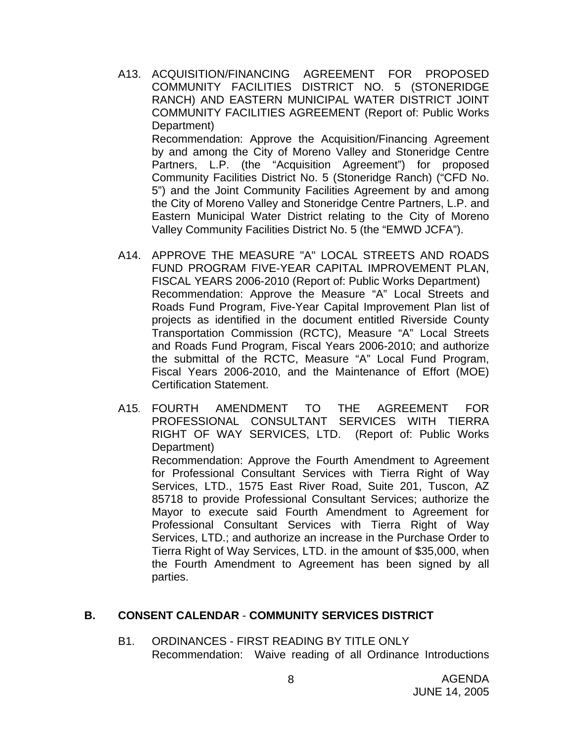A13. ACQUISITION/FINANCING AGREEMENT FOR PROPOSED COMMUNITY FACILITIES DISTRICT NO. 5 (STONERIDGE RANCH) AND EASTERN MUNICIPAL WATER DISTRICT JOINT COMMUNITY FACILITIES AGREEMENT (Report of: Public Works Department) Recommendation: Approve the Acquisition/Financing Agreement by and among the City of Moreno Valley and Stoneridge Centre

Partners, L.P. (the "Acquisition Agreement") for proposed Community Facilities District No. 5 (Stoneridge Ranch) ("CFD No. 5") and the Joint Community Facilities Agreement by and among the City of Moreno Valley and Stoneridge Centre Partners, L.P. and Eastern Municipal Water District relating to the City of Moreno Valley Community Facilities District No. 5 (the "EMWD JCFA").

- A14. APPROVE THE MEASURE "A" LOCAL STREETS AND ROADS FUND PROGRAM FIVE-YEAR CAPITAL IMPROVEMENT PLAN, FISCAL YEARS 2006-2010 (Report of: Public Works Department) Recommendation: Approve the Measure "A" Local Streets and Roads Fund Program, Five-Year Capital Improvement Plan list of projects as identified in the document entitled Riverside County Transportation Commission (RCTC), Measure "A" Local Streets and Roads Fund Program, Fiscal Years 2006-2010; and authorize the submittal of the RCTC, Measure "A" Local Fund Program, Fiscal Years 2006-2010, and the Maintenance of Effort (MOE) Certification Statement.
- A15. FOURTH AMENDMENT TO THE AGREEMENT FOR PROFESSIONAL CONSULTANT SERVICES WITH TIERRA RIGHT OF WAY SERVICES, LTD. (Report of: Public Works Department)

Recommendation: Approve the Fourth Amendment to Agreement for Professional Consultant Services with Tierra Right of Way Services, LTD., 1575 East River Road, Suite 201, Tuscon, AZ 85718 to provide Professional Consultant Services; authorize the Mayor to execute said Fourth Amendment to Agreement for Professional Consultant Services with Tierra Right of Way Services, LTD.; and authorize an increase in the Purchase Order to Tierra Right of Way Services, LTD. in the amount of \$35,000, when the Fourth Amendment to Agreement has been signed by all parties.

#### **B. CONSENT CALENDAR** - **COMMUNITY SERVICES DISTRICT**

B1. ORDINANCES - FIRST READING BY TITLE ONLY Recommendation: Waive reading of all Ordinance Introductions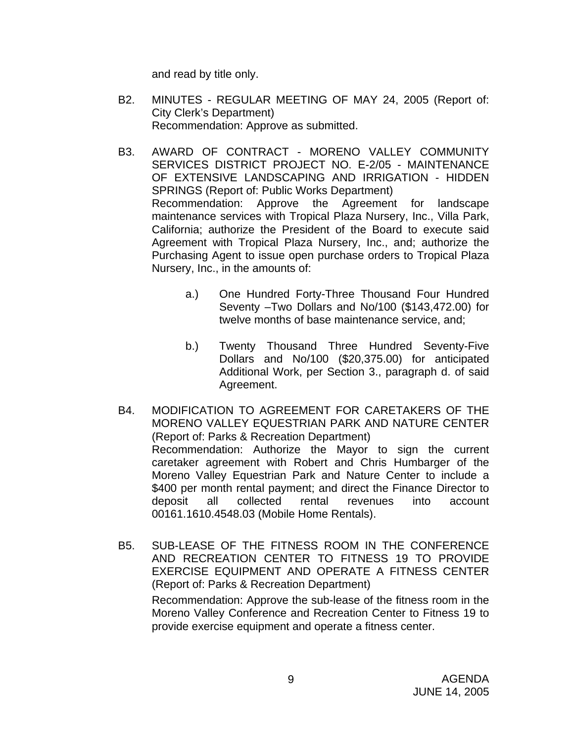and read by title only.

- B2. MINUTES REGULAR MEETING OF MAY 24, 2005 (Report of: City Clerk's Department) Recommendation: Approve as submitted.
- B3. AWARD OF CONTRACT MORENO VALLEY COMMUNITY SERVICES DISTRICT PROJECT NO. E-2/05 - MAINTENANCE OF EXTENSIVE LANDSCAPING AND IRRIGATION - HIDDEN SPRINGS (Report of: Public Works Department) Recommendation: Approve the Agreement for landscape maintenance services with Tropical Plaza Nursery, Inc., Villa Park, California; authorize the President of the Board to execute said Agreement with Tropical Plaza Nursery, Inc., and; authorize the Purchasing Agent to issue open purchase orders to Tropical Plaza Nursery, Inc., in the amounts of:
	- a.) One Hundred Forty-Three Thousand Four Hundred Seventy –Two Dollars and No/100 (\$143,472.00) for twelve months of base maintenance service, and;
	- b.) Twenty Thousand Three Hundred Seventy-Five Dollars and No/100 (\$20,375.00) for anticipated Additional Work, per Section 3., paragraph d. of said Agreement.
- B4. MODIFICATION TO AGREEMENT FOR CARETAKERS OF THE MORENO VALLEY EQUESTRIAN PARK AND NATURE CENTER (Report of: Parks & Recreation Department) Recommendation: Authorize the Mayor to sign the current caretaker agreement with Robert and Chris Humbarger of the Moreno Valley Equestrian Park and Nature Center to include a \$400 per month rental payment; and direct the Finance Director to deposit all collected rental revenues into account 00161.1610.4548.03 (Mobile Home Rentals).
- B5. SUB-LEASE OF THE FITNESS ROOM IN THE CONFERENCE AND RECREATION CENTER TO FITNESS 19 TO PROVIDE EXERCISE EQUIPMENT AND OPERATE A FITNESS CENTER (Report of: Parks & Recreation Department)

Recommendation: Approve the sub-lease of the fitness room in the Moreno Valley Conference and Recreation Center to Fitness 19 to provide exercise equipment and operate a fitness center.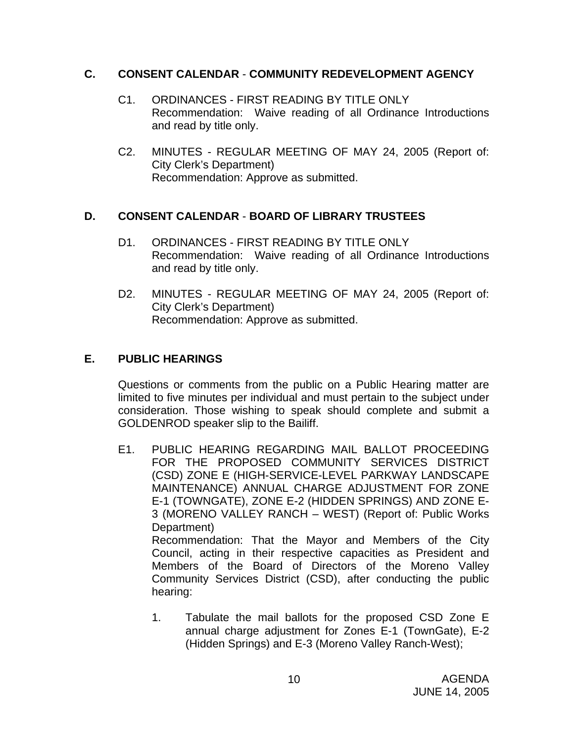#### **C. CONSENT CALENDAR** - **COMMUNITY REDEVELOPMENT AGENCY**

- C1. ORDINANCES FIRST READING BY TITLE ONLY Recommendation: Waive reading of all Ordinance Introductions and read by title only.
- C2. MINUTES REGULAR MEETING OF MAY 24, 2005 (Report of: City Clerk's Department) Recommendation: Approve as submitted.

## **D. CONSENT CALENDAR** - **BOARD OF LIBRARY TRUSTEES**

- D1. ORDINANCES FIRST READING BY TITLE ONLY Recommendation: Waive reading of all Ordinance Introductions and read by title only.
- D2. MINUTES REGULAR MEETING OF MAY 24, 2005 (Report of: City Clerk's Department) Recommendation: Approve as submitted.

## **E. PUBLIC HEARINGS**

Questions or comments from the public on a Public Hearing matter are limited to five minutes per individual and must pertain to the subject under consideration. Those wishing to speak should complete and submit a GOLDENROD speaker slip to the Bailiff.

- E1. PUBLIC HEARING REGARDING MAIL BALLOT PROCEEDING FOR THE PROPOSED COMMUNITY SERVICES DISTRICT (CSD) ZONE E (HIGH-SERVICE-LEVEL PARKWAY LANDSCAPE MAINTENANCE) ANNUAL CHARGE ADJUSTMENT FOR ZONE E-1 (TOWNGATE), ZONE E-2 (HIDDEN SPRINGS) AND ZONE E-3 (MORENO VALLEY RANCH – WEST) (Report of: Public Works Department) Recommendation: That the Mayor and Members of the City Council, acting in their respective capacities as President and Members of the Board of Directors of the Moreno Valley Community Services District (CSD), after conducting the public hearing:
	- 1. Tabulate the mail ballots for the proposed CSD Zone E annual charge adjustment for Zones E-1 (TownGate), E-2 (Hidden Springs) and E-3 (Moreno Valley Ranch-West);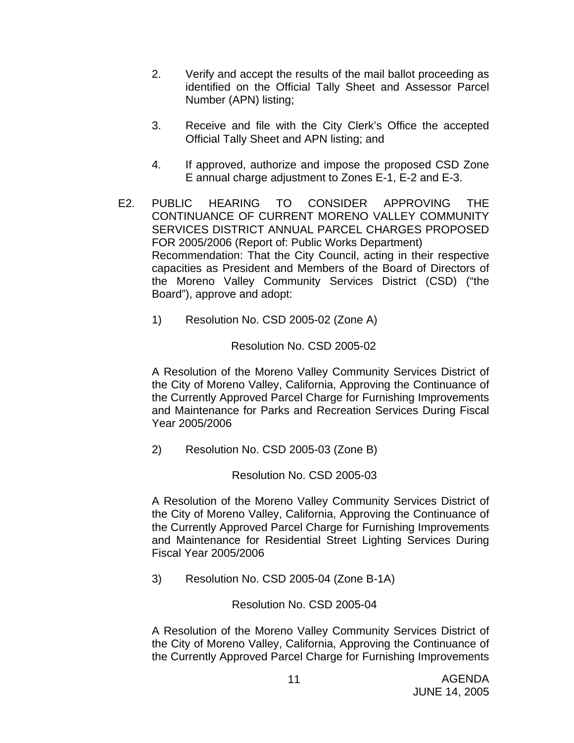- 2. Verify and accept the results of the mail ballot proceeding as identified on the Official Tally Sheet and Assessor Parcel Number (APN) listing;
- 3. Receive and file with the City Clerk's Office the accepted Official Tally Sheet and APN listing; and
- 4. If approved, authorize and impose the proposed CSD Zone E annual charge adjustment to Zones E-1, E-2 and E-3.
- E2. PUBLIC HEARING TO CONSIDER APPROVING THE CONTINUANCE OF CURRENT MORENO VALLEY COMMUNITY SERVICES DISTRICT ANNUAL PARCEL CHARGES PROPOSED FOR 2005/2006 (Report of: Public Works Department) Recommendation: That the City Council, acting in their respective capacities as President and Members of the Board of Directors of the Moreno Valley Community Services District (CSD) ("the Board"), approve and adopt:
	- 1) Resolution No. CSD 2005-02 (Zone A)

## Resolution No. CSD 2005-02

A Resolution of the Moreno Valley Community Services District of the City of Moreno Valley, California, Approving the Continuance of the Currently Approved Parcel Charge for Furnishing Improvements and Maintenance for Parks and Recreation Services During Fiscal Year 2005/2006

2) Resolution No. CSD 2005-03 (Zone B)

#### Resolution No. CSD 2005-03

A Resolution of the Moreno Valley Community Services District of the City of Moreno Valley, California, Approving the Continuance of the Currently Approved Parcel Charge for Furnishing Improvements and Maintenance for Residential Street Lighting Services During Fiscal Year 2005/2006

3) Resolution No. CSD 2005-04 (Zone B-1A)

## Resolution No. CSD 2005-04

A Resolution of the Moreno Valley Community Services District of the City of Moreno Valley, California, Approving the Continuance of the Currently Approved Parcel Charge for Furnishing Improvements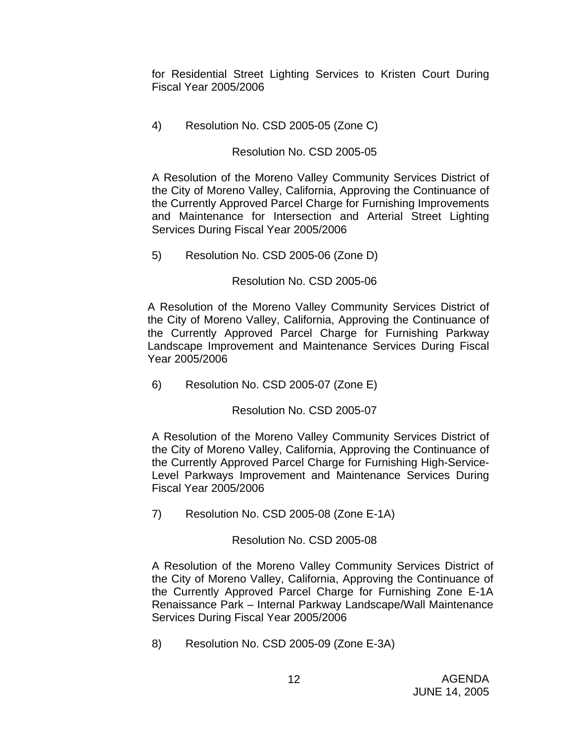for Residential Street Lighting Services to Kristen Court During Fiscal Year 2005/2006

4) Resolution No. CSD 2005-05 (Zone C)

## Resolution No. CSD 2005-05

A Resolution of the Moreno Valley Community Services District of the City of Moreno Valley, California, Approving the Continuance of the Currently Approved Parcel Charge for Furnishing Improvements and Maintenance for Intersection and Arterial Street Lighting Services During Fiscal Year 2005/2006

5) Resolution No. CSD 2005-06 (Zone D)

## Resolution No. CSD 2005-06

A Resolution of the Moreno Valley Community Services District of the City of Moreno Valley, California, Approving the Continuance of the Currently Approved Parcel Charge for Furnishing Parkway Landscape Improvement and Maintenance Services During Fiscal Year 2005/2006

6) Resolution No. CSD 2005-07 (Zone E)

Resolution No. CSD 2005-07

A Resolution of the Moreno Valley Community Services District of the City of Moreno Valley, California, Approving the Continuance of the Currently Approved Parcel Charge for Furnishing High-Service-Level Parkways Improvement and Maintenance Services During Fiscal Year 2005/2006

7) Resolution No. CSD 2005-08 (Zone E-1A)

## Resolution No. CSD 2005-08

A Resolution of the Moreno Valley Community Services District of the City of Moreno Valley, California, Approving the Continuance of the Currently Approved Parcel Charge for Furnishing Zone E-1A Renaissance Park – Internal Parkway Landscape/Wall Maintenance Services During Fiscal Year 2005/2006

8) Resolution No. CSD 2005-09 (Zone E-3A)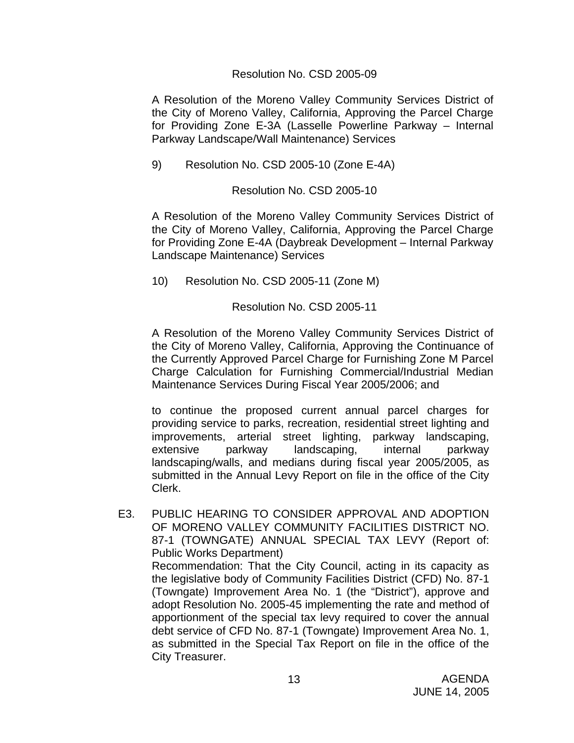#### Resolution No. CSD 2005-09

A Resolution of the Moreno Valley Community Services District of the City of Moreno Valley, California, Approving the Parcel Charge for Providing Zone E-3A (Lasselle Powerline Parkway – Internal Parkway Landscape/Wall Maintenance) Services

9) Resolution No. CSD 2005-10 (Zone E-4A)

Resolution No. CSD 2005-10

A Resolution of the Moreno Valley Community Services District of the City of Moreno Valley, California, Approving the Parcel Charge for Providing Zone E-4A (Daybreak Development – Internal Parkway Landscape Maintenance) Services

10) Resolution No. CSD 2005-11 (Zone M)

Resolution No. CSD 2005-11

A Resolution of the Moreno Valley Community Services District of the City of Moreno Valley, California, Approving the Continuance of the Currently Approved Parcel Charge for Furnishing Zone M Parcel Charge Calculation for Furnishing Commercial/Industrial Median Maintenance Services During Fiscal Year 2005/2006; and

to continue the proposed current annual parcel charges for providing service to parks, recreation, residential street lighting and improvements, arterial street lighting, parkway landscaping, extensive parkway landscaping, internal parkway landscaping/walls, and medians during fiscal year 2005/2005, as submitted in the Annual Levy Report on file in the office of the City Clerk.

E3. PUBLIC HEARING TO CONSIDER APPROVAL AND ADOPTION OF MORENO VALLEY COMMUNITY FACILITIES DISTRICT NO. 87-1 (TOWNGATE) ANNUAL SPECIAL TAX LEVY (Report of: Public Works Department) Recommendation: That the City Council, acting in its capacity as the legislative body of Community Facilities District (CFD) No. 87-1 (Towngate) Improvement Area No. 1 (the "District"), approve and adopt Resolution No. 2005-45 implementing the rate and method of apportionment of the special tax levy required to cover the annual debt service of CFD No. 87-1 (Towngate) Improvement Area No. 1, as submitted in the Special Tax Report on file in the office of the City Treasurer.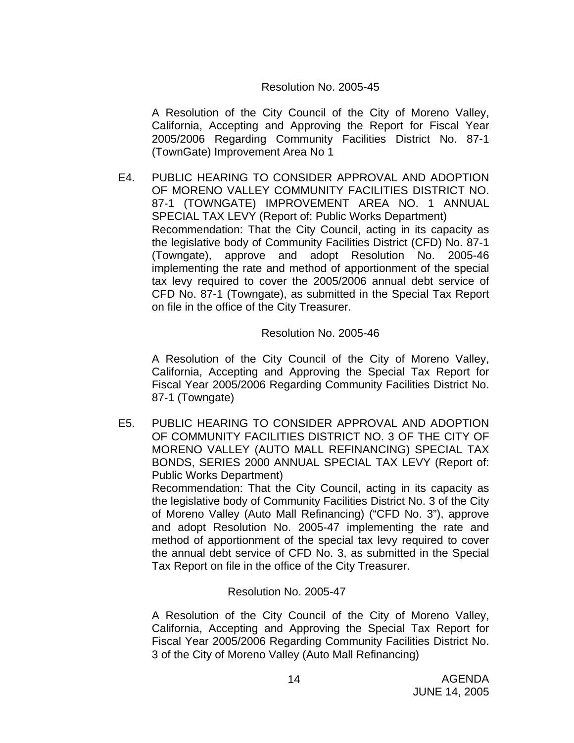#### Resolution No. 2005-45

A Resolution of the City Council of the City of Moreno Valley, California, Accepting and Approving the Report for Fiscal Year 2005/2006 Regarding Community Facilities District No. 87-1 (TownGate) Improvement Area No 1

E4. PUBLIC HEARING TO CONSIDER APPROVAL AND ADOPTION OF MORENO VALLEY COMMUNITY FACILITIES DISTRICT NO. 87-1 (TOWNGATE) IMPROVEMENT AREA NO. 1 ANNUAL SPECIAL TAX LEVY (Report of: Public Works Department) Recommendation: That the City Council, acting in its capacity as the legislative body of Community Facilities District (CFD) No. 87-1 (Towngate), approve and adopt Resolution No. 2005-46 implementing the rate and method of apportionment of the special tax levy required to cover the 2005/2006 annual debt service of CFD No. 87-1 (Towngate), as submitted in the Special Tax Report on file in the office of the City Treasurer.

Resolution No. 2005-46

A Resolution of the City Council of the City of Moreno Valley, California, Accepting and Approving the Special Tax Report for Fiscal Year 2005/2006 Regarding Community Facilities District No. 87-1 (Towngate)

E5. PUBLIC HEARING TO CONSIDER APPROVAL AND ADOPTION OF COMMUNITY FACILITIES DISTRICT NO. 3 OF THE CITY OF MORENO VALLEY (AUTO MALL REFINANCING) SPECIAL TAX BONDS, SERIES 2000 ANNUAL SPECIAL TAX LEVY (Report of: Public Works Department) Recommendation: That the City Council, acting in its capacity as

the legislative body of Community Facilities District No. 3 of the City of Moreno Valley (Auto Mall Refinancing) ("CFD No. 3"), approve and adopt Resolution No. 2005-47 implementing the rate and method of apportionment of the special tax levy required to cover the annual debt service of CFD No. 3, as submitted in the Special Tax Report on file in the office of the City Treasurer.

Resolution No. 2005-47

A Resolution of the City Council of the City of Moreno Valley, California, Accepting and Approving the Special Tax Report for Fiscal Year 2005/2006 Regarding Community Facilities District No. 3 of the City of Moreno Valley (Auto Mall Refinancing)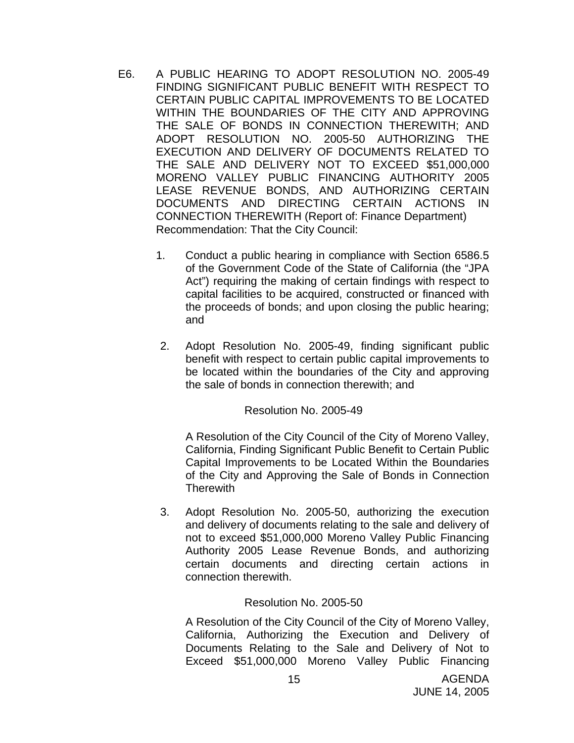- E6. A PUBLIC HEARING TO ADOPT RESOLUTION NO. 2005-49 FINDING SIGNIFICANT PUBLIC BENEFIT WITH RESPECT TO CERTAIN PUBLIC CAPITAL IMPROVEMENTS TO BE LOCATED WITHIN THE BOUNDARIES OF THE CITY AND APPROVING THE SALE OF BONDS IN CONNECTION THEREWITH; AND ADOPT RESOLUTION NO. 2005-50 AUTHORIZING THE EXECUTION AND DELIVERY OF DOCUMENTS RELATED TO THE SALE AND DELIVERY NOT TO EXCEED \$51,000,000 MORENO VALLEY PUBLIC FINANCING AUTHORITY 2005 LEASE REVENUE BONDS, AND AUTHORIZING CERTAIN DOCUMENTS AND DIRECTING CERTAIN ACTIONS IN CONNECTION THEREWITH (Report of: Finance Department) Recommendation: That the City Council:
	- 1. Conduct a public hearing in compliance with Section 6586.5 of the Government Code of the State of California (the "JPA Act") requiring the making of certain findings with respect to capital facilities to be acquired, constructed or financed with the proceeds of bonds; and upon closing the public hearing; and
	- 2. Adopt Resolution No. 2005-49, finding significant public benefit with respect to certain public capital improvements to be located within the boundaries of the City and approving the sale of bonds in connection therewith; and

Resolution No. 2005-49

A Resolution of the City Council of the City of Moreno Valley, California, Finding Significant Public Benefit to Certain Public Capital Improvements to be Located Within the Boundaries of the City and Approving the Sale of Bonds in Connection **Therewith** 

3. Adopt Resolution No. 2005-50, authorizing the execution and delivery of documents relating to the sale and delivery of not to exceed \$51,000,000 Moreno Valley Public Financing Authority 2005 Lease Revenue Bonds, and authorizing certain documents and directing certain actions in connection therewith.

## Resolution No. 2005-50

A Resolution of the City Council of the City of Moreno Valley, California, Authorizing the Execution and Delivery of Documents Relating to the Sale and Delivery of Not to Exceed \$51,000,000 Moreno Valley Public Financing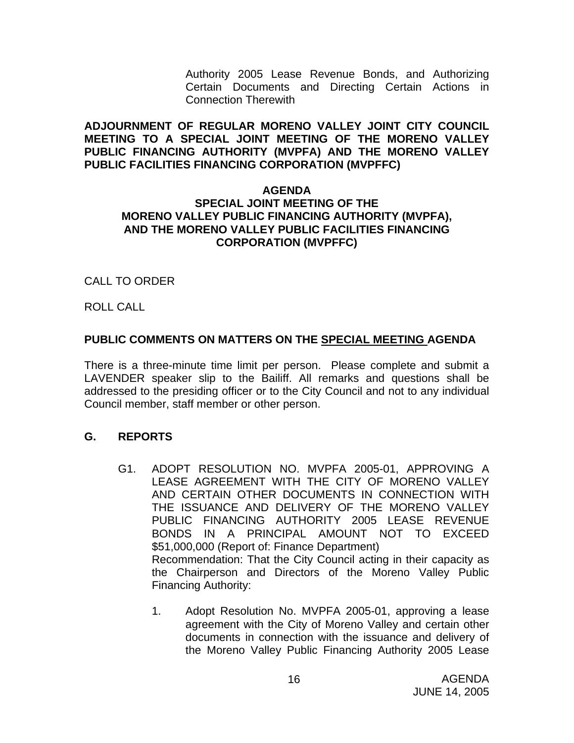Authority 2005 Lease Revenue Bonds, and Authorizing Certain Documents and Directing Certain Actions in Connection Therewith

**ADJOURNMENT OF REGULAR MORENO VALLEY JOINT CITY COUNCIL MEETING TO A SPECIAL JOINT MEETING OF THE MORENO VALLEY PUBLIC FINANCING AUTHORITY (MVPFA) AND THE MORENO VALLEY PUBLIC FACILITIES FINANCING CORPORATION (MVPFFC)** 

#### **AGENDA SPECIAL JOINT MEETING OF THE MORENO VALLEY PUBLIC FINANCING AUTHORITY (MVPFA), AND THE MORENO VALLEY PUBLIC FACILITIES FINANCING CORPORATION (MVPFFC)**

## CALL TO ORDER

ROLL CALL

## **PUBLIC COMMENTS ON MATTERS ON THE SPECIAL MEETING AGENDA**

There is a three-minute time limit per person. Please complete and submit a LAVENDER speaker slip to the Bailiff. All remarks and questions shall be addressed to the presiding officer or to the City Council and not to any individual Council member, staff member or other person.

## **G. REPORTS**

- G1. ADOPT RESOLUTION NO. MVPFA 2005-01, APPROVING A LEASE AGREEMENT WITH THE CITY OF MORENO VALLEY AND CERTAIN OTHER DOCUMENTS IN CONNECTION WITH THE ISSUANCE AND DELIVERY OF THE MORENO VALLEY PUBLIC FINANCING AUTHORITY 2005 LEASE REVENUE BONDS IN A PRINCIPAL AMOUNT NOT TO EXCEED \$51,000,000 (Report of: Finance Department) Recommendation: That the City Council acting in their capacity as the Chairperson and Directors of the Moreno Valley Public Financing Authority:
	- 1. Adopt Resolution No. MVPFA 2005-01, approving a lease agreement with the City of Moreno Valley and certain other documents in connection with the issuance and delivery of the Moreno Valley Public Financing Authority 2005 Lease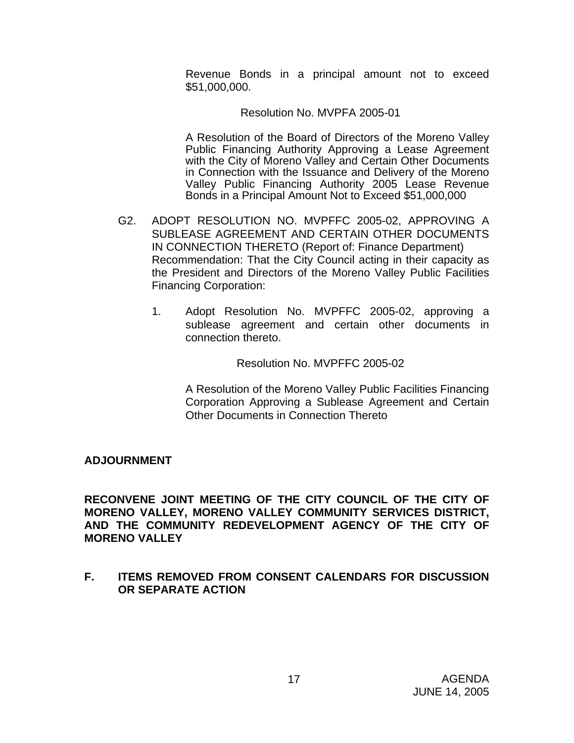Revenue Bonds in a principal amount not to exceed \$51,000,000.

#### Resolution No. MVPFA 2005-01

 A Resolution of the Board of Directors of the Moreno Valley Public Financing Authority Approving a Lease Agreement with the City of Moreno Valley and Certain Other Documents in Connection with the Issuance and Delivery of the Moreno Valley Public Financing Authority 2005 Lease Revenue Bonds in a Principal Amount Not to Exceed \$51,000,000

- G2. ADOPT RESOLUTION NO. MVPFFC 2005-02, APPROVING A SUBLEASE AGREEMENT AND CERTAIN OTHER DOCUMENTS IN CONNECTION THERETO (Report of: Finance Department) Recommendation: That the City Council acting in their capacity as the President and Directors of the Moreno Valley Public Facilities Financing Corporation:
	- 1. Adopt Resolution No. MVPFFC 2005-02, approving a sublease agreement and certain other documents in connection thereto.

Resolution No. MVPFFC 2005-02

A Resolution of the Moreno Valley Public Facilities Financing Corporation Approving a Sublease Agreement and Certain Other Documents in Connection Thereto

#### **ADJOURNMENT**

**RECONVENE JOINT MEETING OF THE CITY COUNCIL OF THE CITY OF MORENO VALLEY, MORENO VALLEY COMMUNITY SERVICES DISTRICT, AND THE COMMUNITY REDEVELOPMENT AGENCY OF THE CITY OF MORENO VALLEY** 

**F. ITEMS REMOVED FROM CONSENT CALENDARS FOR DISCUSSION OR SEPARATE ACTION**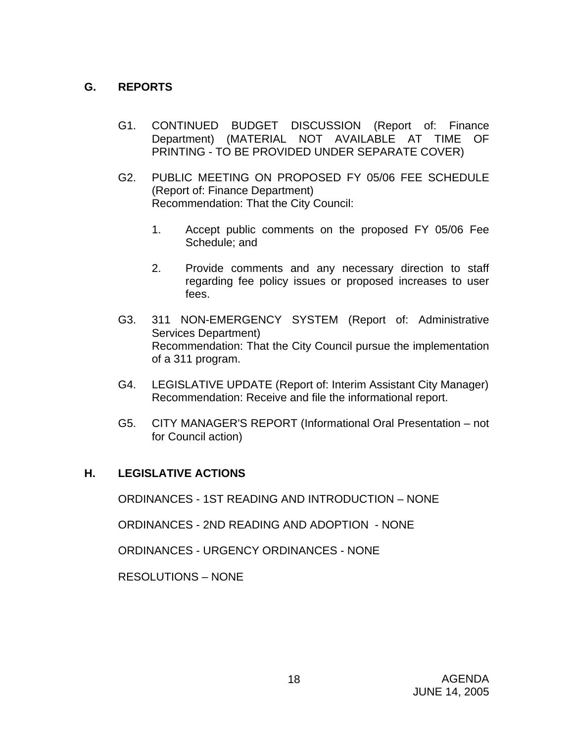# **G. REPORTS**

- G1. CONTINUED BUDGET DISCUSSION (Report of: Finance Department) (MATERIAL NOT AVAILABLE AT TIME OF PRINTING - TO BE PROVIDED UNDER SEPARATE COVER)
- G2. PUBLIC MEETING ON PROPOSED FY 05/06 FEE SCHEDULE (Report of: Finance Department) Recommendation: That the City Council:
	- 1. Accept public comments on the proposed FY 05/06 Fee Schedule; and
	- 2. Provide comments and any necessary direction to staff regarding fee policy issues or proposed increases to user fees.
- G3. 311 NON-EMERGENCY SYSTEM (Report of: Administrative Services Department) Recommendation: That the City Council pursue the implementation of a 311 program.
- G4. LEGISLATIVE UPDATE (Report of: Interim Assistant City Manager) Recommendation: Receive and file the informational report.
- G5. CITY MANAGER'S REPORT (Informational Oral Presentation not for Council action)

## **H. LEGISLATIVE ACTIONS**

ORDINANCES - 1ST READING AND INTRODUCTION – NONE

ORDINANCES - 2ND READING AND ADOPTION - NONE

ORDINANCES - URGENCY ORDINANCES - NONE

RESOLUTIONS – NONE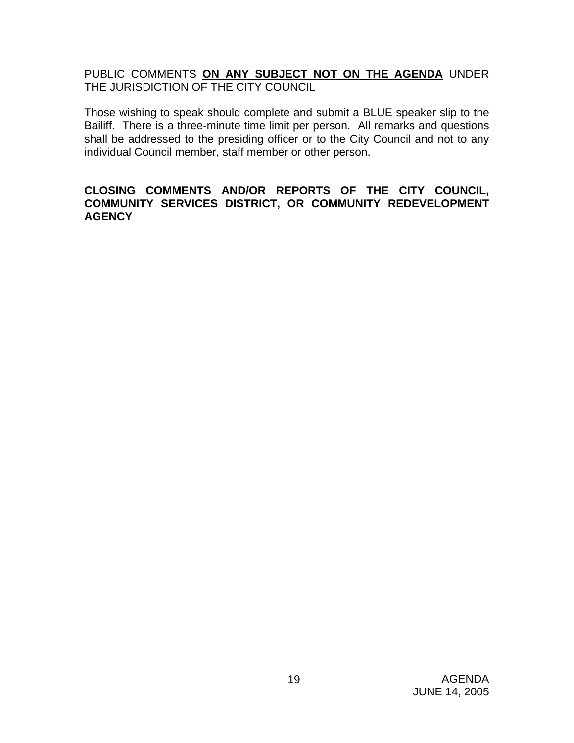PUBLIC COMMENTS **ON ANY SUBJECT NOT ON THE AGENDA** UNDER THE JURISDICTION OF THE CITY COUNCIL

Those wishing to speak should complete and submit a BLUE speaker slip to the Bailiff. There is a three-minute time limit per person. All remarks and questions shall be addressed to the presiding officer or to the City Council and not to any individual Council member, staff member or other person.

#### **CLOSING COMMENTS AND/OR REPORTS OF THE CITY COUNCIL, COMMUNITY SERVICES DISTRICT, OR COMMUNITY REDEVELOPMENT AGENCY**